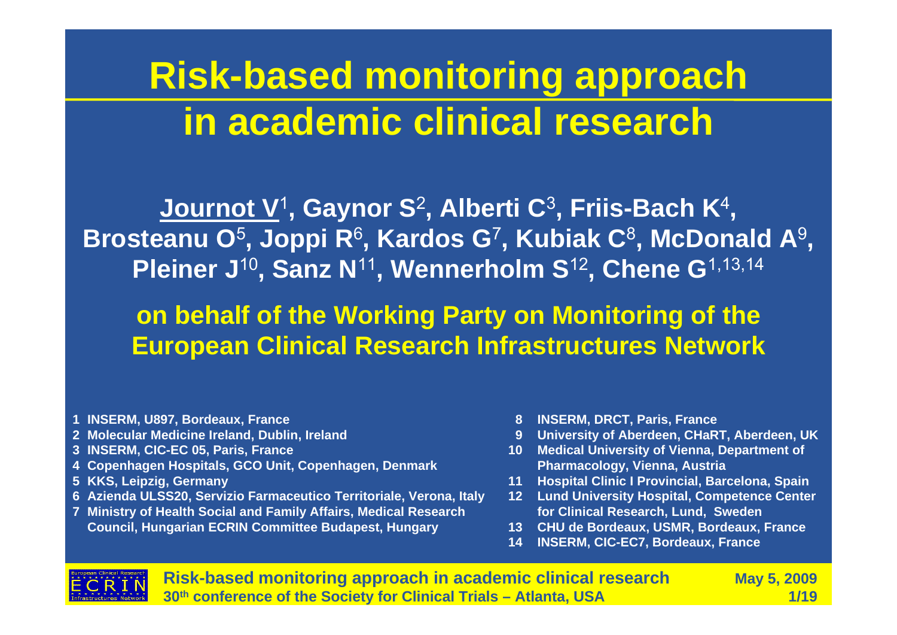# **Risk-based monitoring approach in academic clinical research**

**Journot V**<sup>1</sup>**, Gaynor S** 2**, Alberti C** 3**, Friis-Bach K** 4**, Brosteanu O** 5**, Joppi R** 6**, Kardos G** 7**, Kubiak C** 8**, McDonald A** 9 **, Pleiner J**<sup>10</sup>**, Sanz N**<sup>11</sup>**, Wennerholm S**<sup>12</sup>**, Chene G**1,13,14

**on behalf of the Working Party on Monitoring of the European Clinical Research Infrastructures Network**

- **1 INSERM, U897, Bordeaux, France**
- **2 Molecular Medicine Ireland, Dublin, Ireland**
- **3 INSERM, CIC-EC 05, Paris, France**
- **4 Copenhagen Hospitals, GCO Unit, Copenhagen, Denmark**
- **5 KKS, Leipzig, Germany**
- **6 Azienda ULSS20, Servizio Farmaceutico Territoriale, Verona, Italy**
- **7 Ministry of Health Social and Family Affairs, Medical Research Council, Hungarian ECRIN Committee Budapest, Hungary**
- **8 INSERM, DRCT, Paris, France**
- **9 University of Aberdeen, CHaRT, Aberdeen, UK**
- **10 Medical University of Vienna, Department of Pharmacology, Vienna, Austria**
- **11 Hospital Clinic I Provincial, Barcelona, Spain**
- **12 Lund University Hospital, Competence Center for Clinical Research, Lund, Sweden**
- **13 CHU de Bordeaux, USMR, Bordeaux, France**
- **14 INSERM, CIC-EC7, Bordeaux, France**



**Risk-based monitoring approach in academic clinical research May 5, 2009 30th conference of the Society for Clinical Trials – Atlanta, USA 1/19**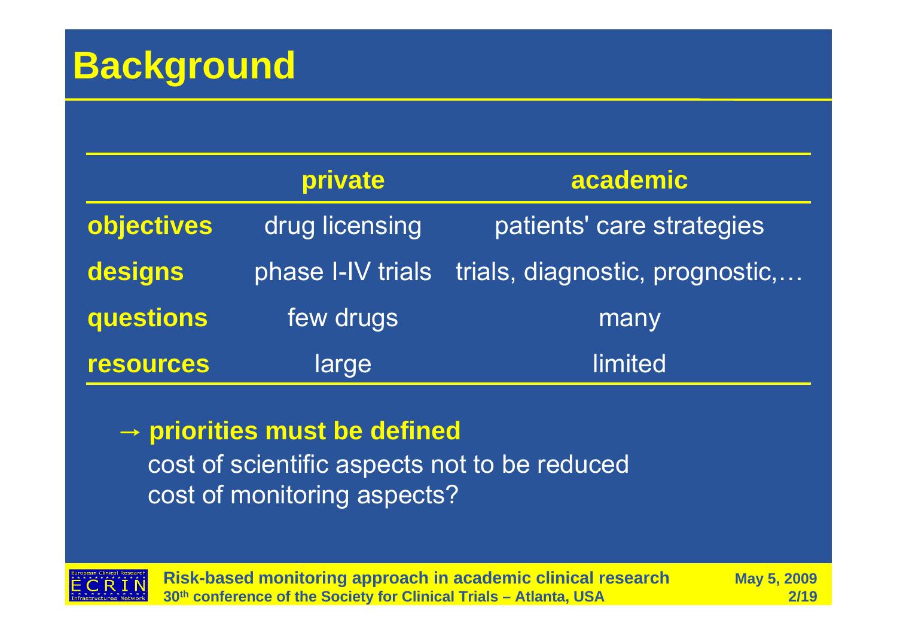## **Background**

|                  | private           | academic                        |  |
|------------------|-------------------|---------------------------------|--|
| objectives       | drug licensing    | patients' care strategies       |  |
| designs          | phase I-IV trials | trials, diagnostic, prognostic, |  |
| questions        | few drugs         | many                            |  |
| <b>resources</b> | large             | limited                         |  |

#### → **priorities must be defined**

cost of scientific aspects not to be reduced cost of monitoring aspects?



**Risk-based monitoring approach in academic clinical research May 5, 2009 30th conference of the Society for Clinical Trials – Atlanta, USA 2/19**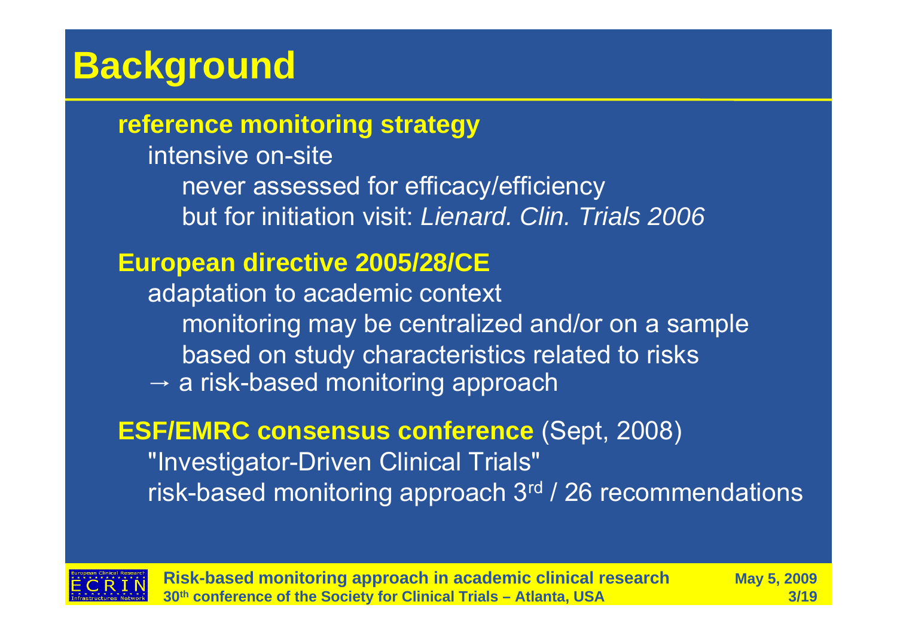# **Background**

**reference monitoring strategy**

intensive on-sitenever assessed for efficacy/efficiency but for initiation visit: *Lienard. Clin. Trials 2006*

### **European directive 2005/28/CE**

adaptation to academic context monitoring may be centralized and/or on a sample based on study characteristics related to risks  $\rightarrow$  a risk-based monitoring approach

#### **ESF/EMRC consensus conference** (Sept, 2008)

"Investigator-Driven Clinical Trials" risk-based monitoring approach 3rd / 26 recommendations



**Risk-based monitoring approach in academic clinical research May 5, 2009 30th conference of the Society for Clinical Trials – Atlanta, USA 3/19**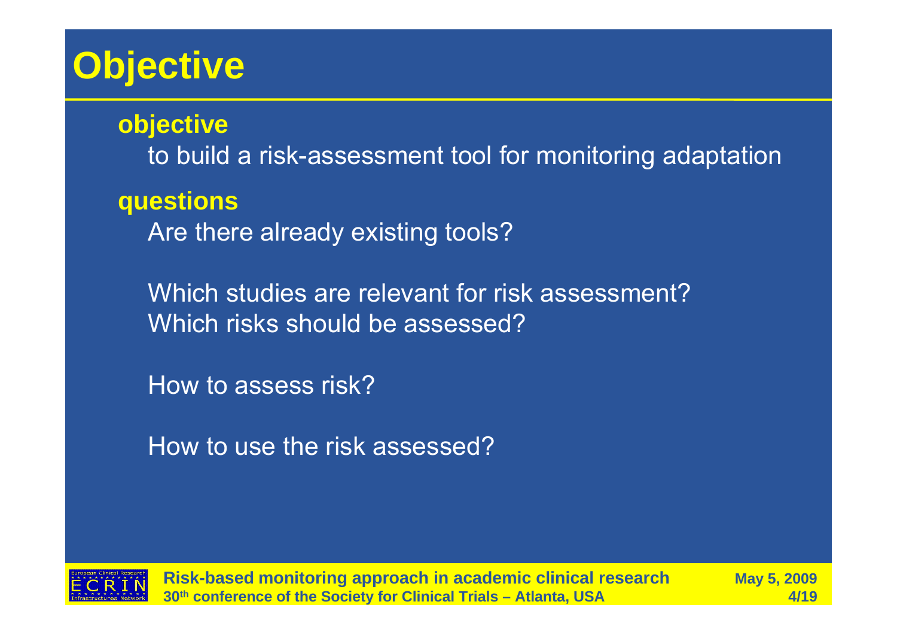# **Objective**

**objective**

to build a risk-assessment tool for monitoring adaptation

**questions**

Are there already existing tools?

Which studies are relevant for risk assessment?Which risks should be assessed?

How to assess risk?

How to use the risk assessed?



**Risk-based monitoring approach in academic clinical research May 5, 2009 30th conference of the Society for Clinical Trials – Atlanta, USA 4/19**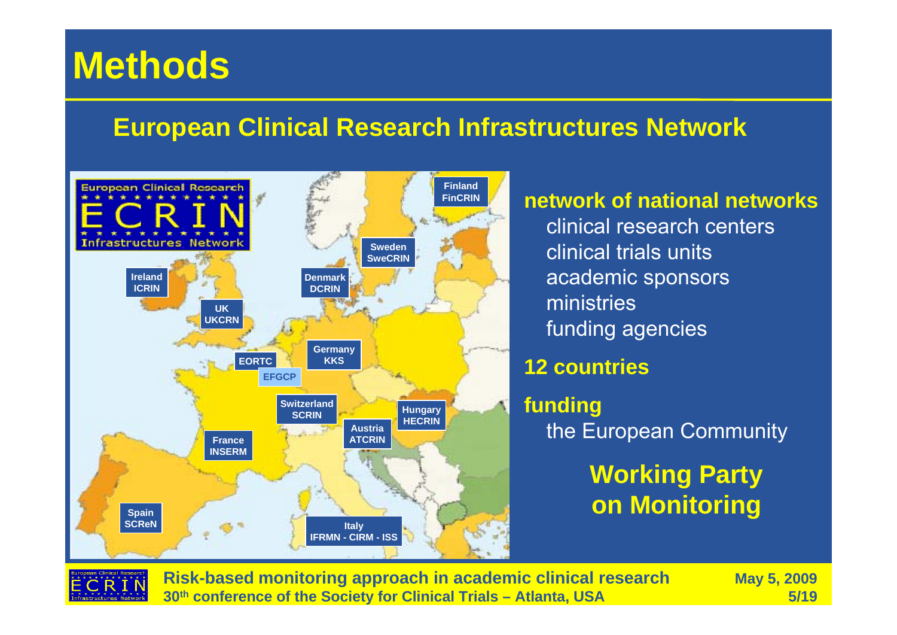### **European Clinical Research Infrastructures Network**



**network of national networks** clinical research centersclinical trials unitsacademic sponsors ministriesfunding agencies

#### **12 countries**

**funding** the European Community

> **Working Party on Monitoring**



**Risk-based monitoring approach in academic clinical research May 5, 2009 30th conference of the Society for Clinical Trials – Atlanta, USA 5/19**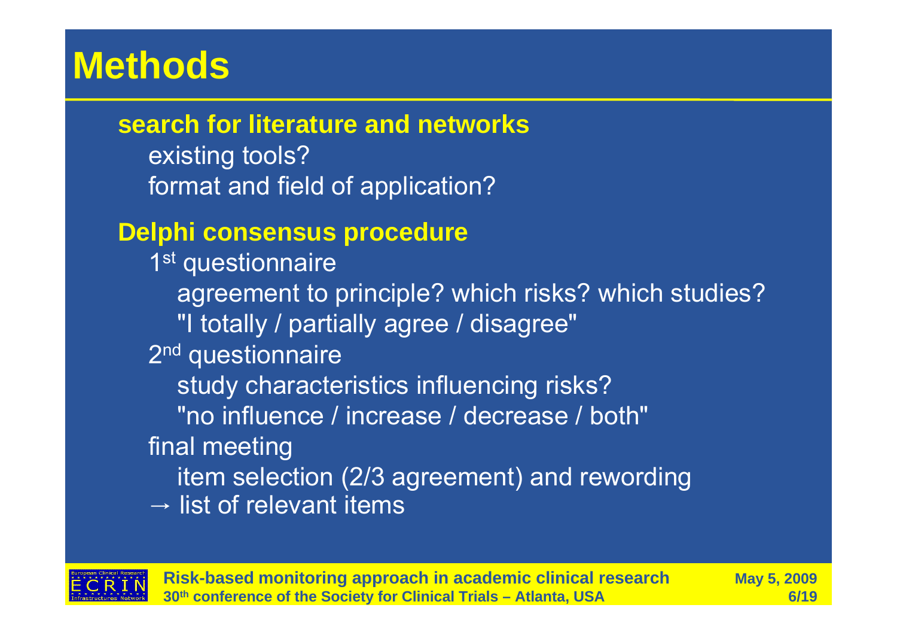**search for literature and networks**

existing tools? format and field of application?

### **Delphi consensus procedure**

1<sup>st</sup> questionnaire agreement to principle? which risks? which studies? "I totally / partially agree / disagree" 2<sup>nd</sup> questionnaire study characteristics influencing risks? "no influence / increase / decrease / both"final meeting item selection (2/3 agreement) and rewording  $\rightarrow$  list of relevant items



**Risk-based monitoring approach in academic clinical research May 5, 2009 30th conference of the Society for Clinical Trials – Atlanta, USA 6/19**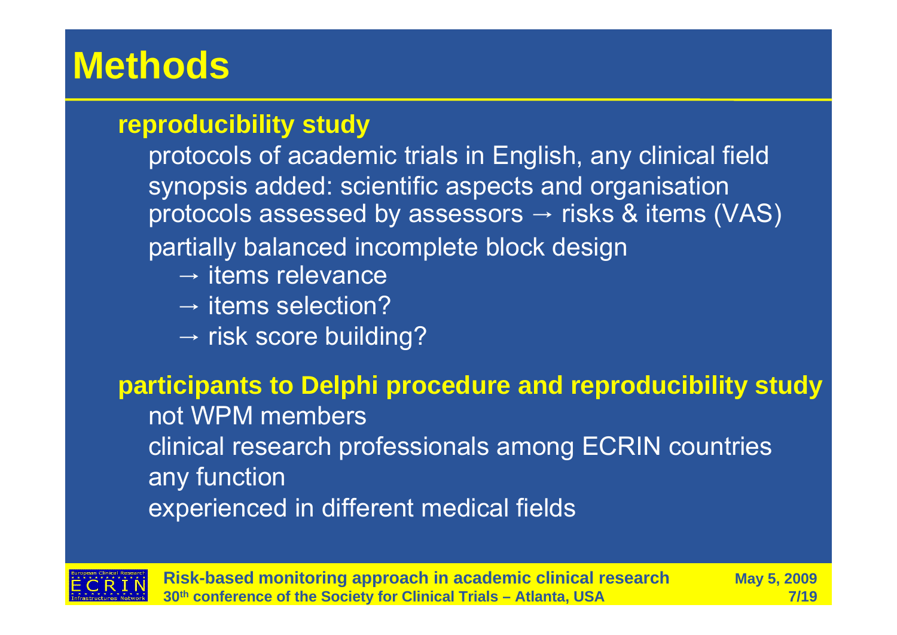### **reproducibility study**

protocols of academic trials in English, any clinical field synopsis added: scientific aspects and organisation protocols assessed by assessors → risks & items (VAS) partially balanced incomplete block design

- $\rightarrow$  items relevance
- $\rightarrow$  items selection?
- $\rightarrow$  risk score building?

#### **participants to Delphi procedure and reproducibility study**

not WPM membersclinical research professionals among ECRIN countries any function experienced in different medical fields



**Risk-based monitoring approach in academic clinical research May 5, 2009 30th conference of the Society for Clinical Trials – Atlanta, USA 7/19**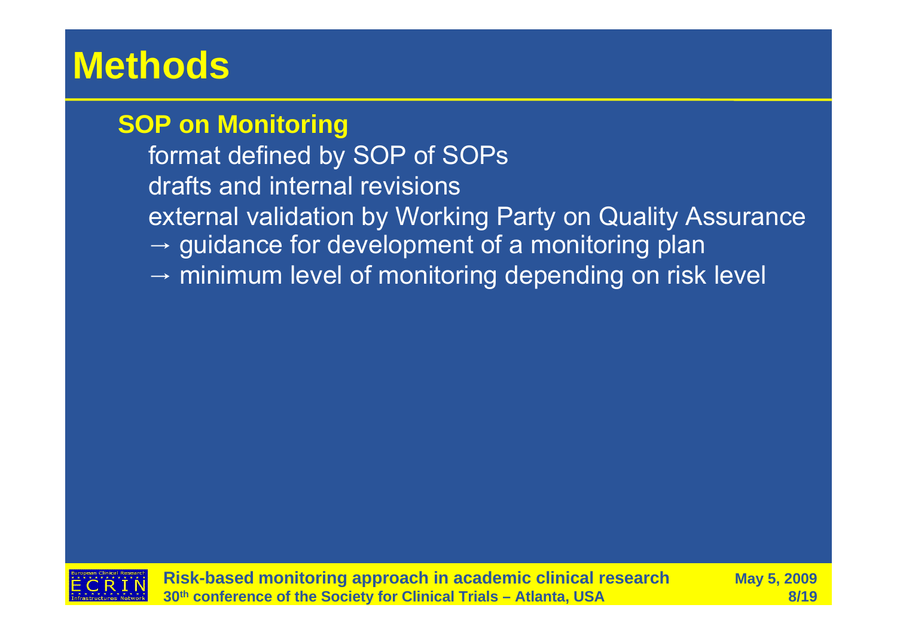### **SOP on Monitoring**

format defined by SOP of SOPs drafts and internal revisionsexternal validation by Working Party on Quality Assurance  $\rightarrow$  guidance for development of a monitoring plan  $\rightarrow$  minimum level of monitoring depending on risk level

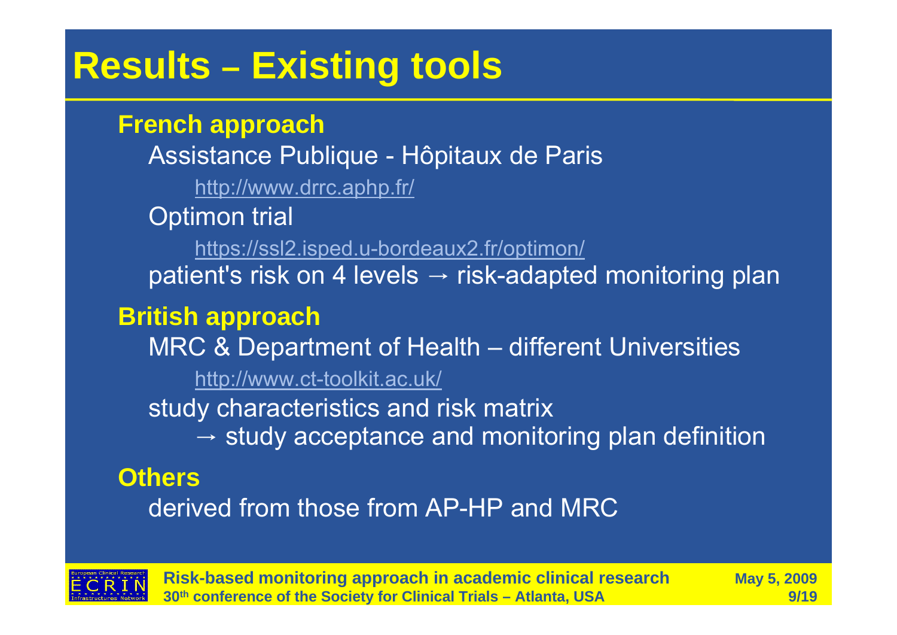#### **Results –Existing tools**

#### **French approach**

Assistance Publique - Hôpitaux de Paris http://www.drrc.aphp.fr/ Optimon trial https://ssl2.isped.u-bordeaux2.fr/optimon/ patient's risk on 4 levels → risk-adapted monitoring plan

### **British approach**

MRC & Department of Health – different Universities

http://www.ct-toolkit.ac.uk/

study characteristics and risk matrix

 $\rightarrow$  study acceptance and monitoring plan definition

## **Others**

derived from those from AP-HP and MRC



**Risk-based monitoring approach in academic clinical research May 5, 2009 30th conference of the Society for Clinical Trials – Atlanta, USA 9/19**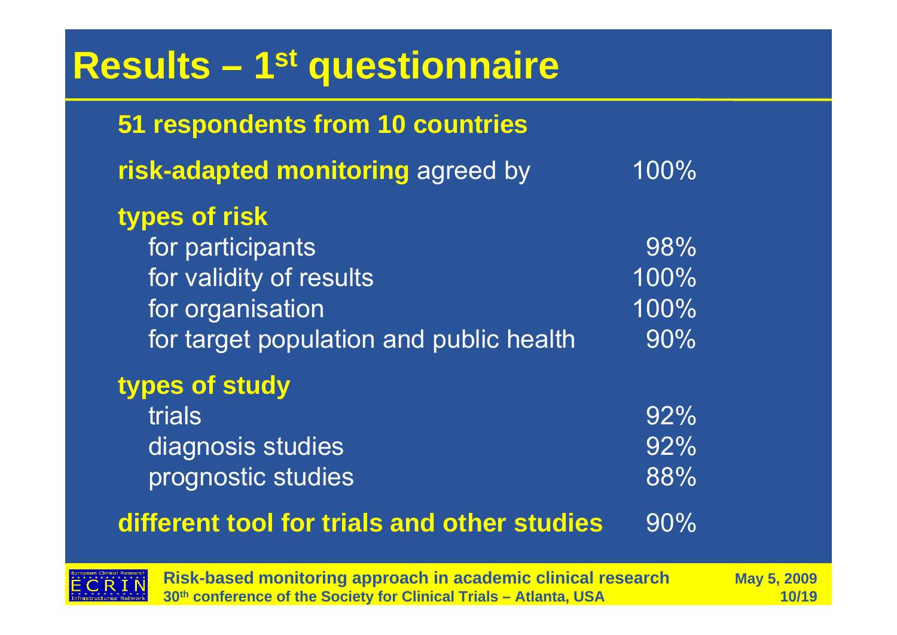| <b>Results - 1<sup>st</sup> questionnaire</b>                                                                               |                             |  |  |  |
|-----------------------------------------------------------------------------------------------------------------------------|-----------------------------|--|--|--|
| 51 respondents from 10 countries                                                                                            |                             |  |  |  |
| risk-adapted monitoring agreed by                                                                                           | 100%                        |  |  |  |
| types of risk<br>for participants<br>for validity of results<br>for organisation<br>for target population and public health | 98%<br>100%<br>100%<br>90%  |  |  |  |
| types of study<br>trials<br>diagnosis studies<br>prognostic studies<br>different tool for trials and other studies          | $92\%$<br>92%<br>88%<br>90% |  |  |  |



**Risk-based monitoring approach in academic clinical research May 5, 2009 30th conference of the Society for Clinical Trials – Atlanta, USA 10/19**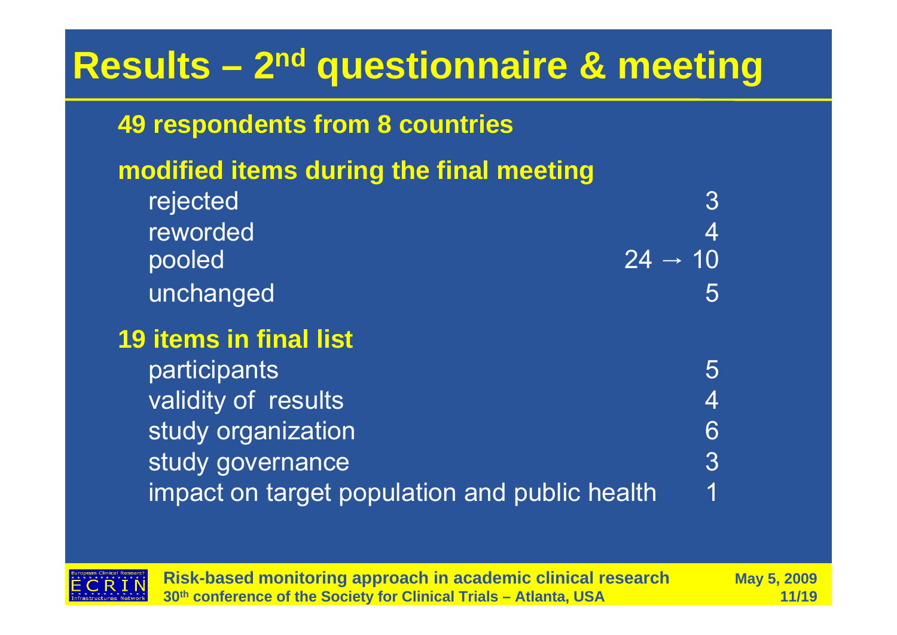## **Results – 2n<sup>d</sup> questionnaire & meeting**

## **49 respondents from 8 countries**

## **modified items during the final meeting**

| rejected                                      | $\overline{3}$      |
|-----------------------------------------------|---------------------|
| reworded                                      | $\overline{4}$      |
| pooled                                        | $24 \rightarrow 10$ |
| unchanged                                     | 5                   |
| <b>19 items in final list</b>                 |                     |
| participants                                  | 5                   |
| validity of results                           | 4                   |
| study organization                            | 6                   |
| study governance                              | $3\overline{3}$     |
| impact on target population and public health | 1                   |



**Risk-based monitoring approach in academic clinical research May 5, 2009 30th conference of the Society for Clinical Trials – Atlanta, USA 11/19**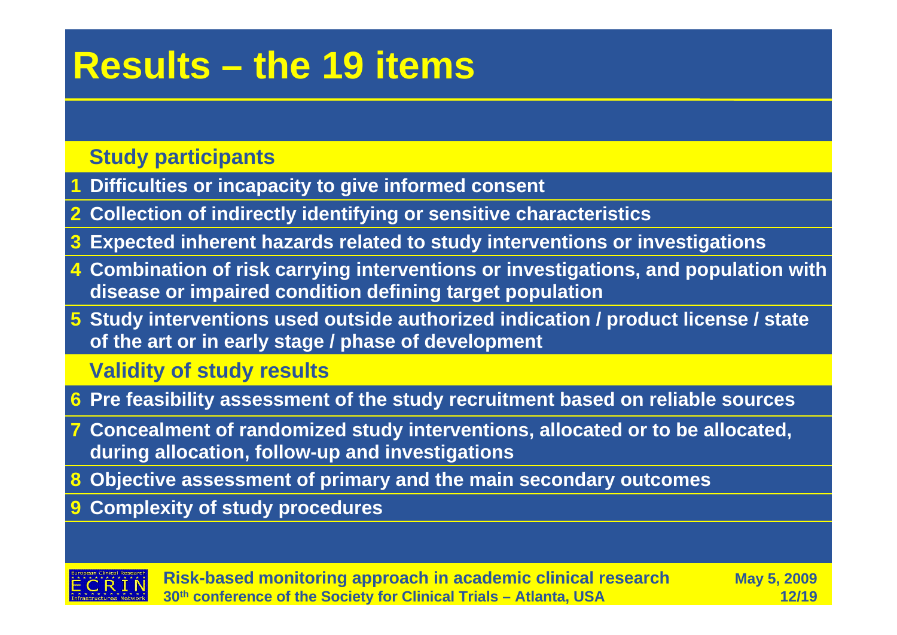## **Results – the 19 items**

#### **Study participants**

- **1Difficulties or incapacity to give informed consent**
- **2 Collection of indirectly identifying or sensitive characteristics**
- **3Expected inherent hazards related to study interventions or investigations**
- **Combination of risk carrying interventions or investigations, and population with 4 disease or impaired condition defining target population**
- **Study interventions used outside authorized indication / product license / state 5 of the art or in early stage / phase of development**

#### **Validity of study results**

- **6 Pre feasibility assessment of the study recruitment based on reliable sources**
- **Concealment of randomized study interventions, allocated or to be allocated, 7 during allocation, follow-up and investigations**
- **8 Objective assessment of primary and the main secondary outcomes**
- **9 Complexity of study procedures**



**Risk-based monitoring approach in academic clinical research May 5, 2009 30th conference of the Society for Clinical Trials – Atlanta, USA 12/19**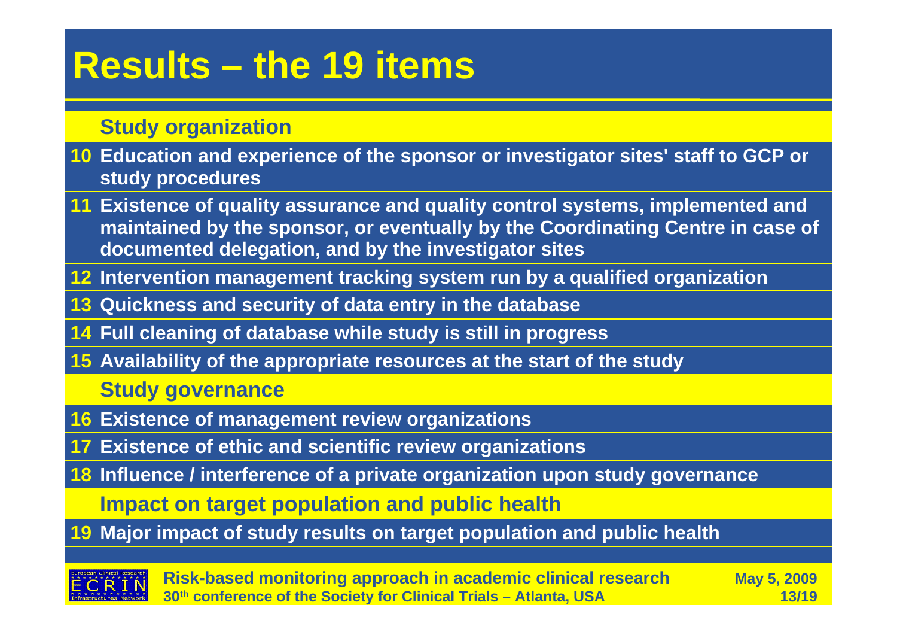## **Results – the 19 items**

#### **Study organization**

- **Education and experience of the sponsor or investigator sites' staff to GCP or 10 study procedures**
- **Existence of quality assurance and quality control systems, implemented and 11 maintained by the sponsor, or eventually by the Coordinating Centre in case of documented delegation, and by the investigator sites**
- **12 Intervention management tracking system run by a qualified organization**
- **13 Quickness and security of data entry in the database**
- **14 Full cleaning of database while study is still in progress**
- **15 Availability of the appropriate resources at the start of the study**

**Study governance**

- **16 Existence of management review organizations**
- **17 Existence of ethic and scientific review organizations**
- **18 Influence / interference of a private organization upon study governance**

**Impact on target population and public health**

**19 Major impact of study results on target population and public health**



**Risk-based monitoring approach in academic clinical research May 5, 2009 30th conference of the Society for Clinical Trials – Atlanta, USA 13/19**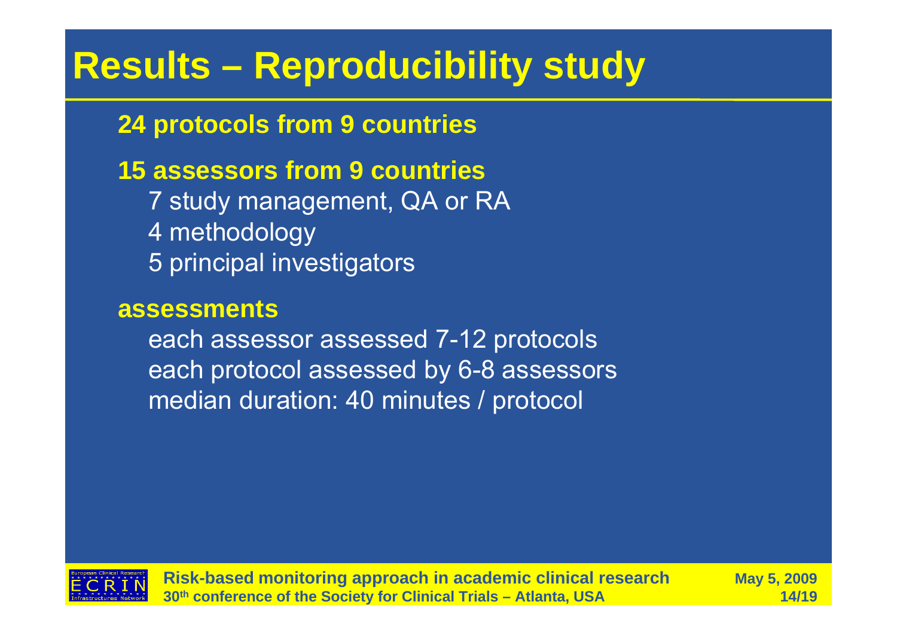# **Results – Reproducibility study**

## **24 protocols from 9 countries**

## **15 assessors from 9 countries**

7 study management, QA or RA 4 methodology 5 principal investigators

#### **assessments**

each assessor assessed 7-12 protocols each protocol assessed by 6-8 assessors median duration: 40 minutes / protocol



**Risk-based monitoring approach in academic clinical research May 5, 2009 30th conference of the Society for Clinical Trials – Atlanta, USA 14/19**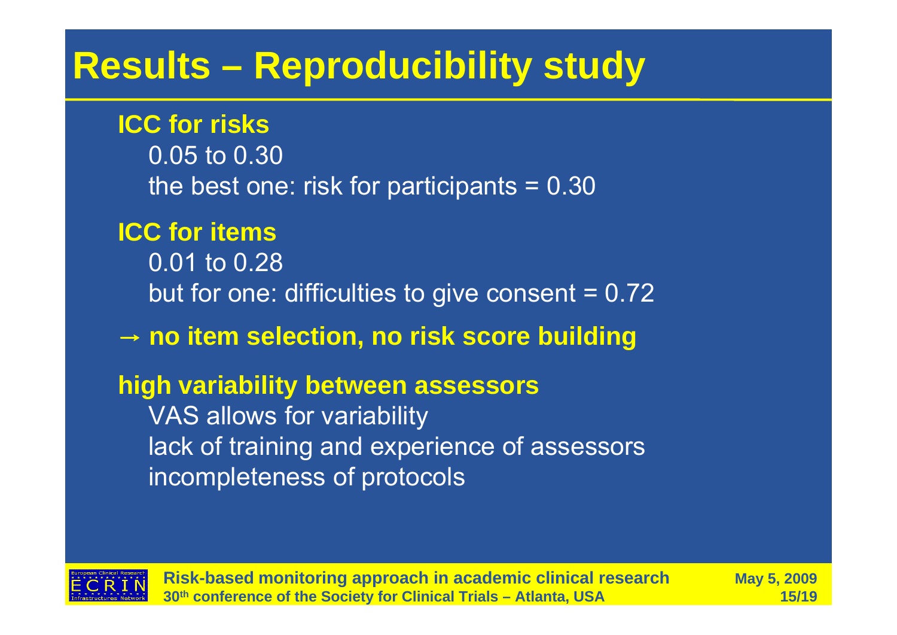## **Results – Reproducibility study**

#### **ICC for risks**

0.05 to 0.30the best one: risk for participants  $= 0.30$ 

### **ICC for items**

0.01 to 0.28but for one: difficulties to give consent  $= 0.72$ 

### → **no item selection, no risk score building**

#### **high variability between assessors**

VAS allows for variability lack of training and experience of assessors incompleteness of protocols



**Risk-based monitoring approach in academic clinical research May 5, 2009 30th conference of the Society for Clinical Trials – Atlanta, USA 15/19**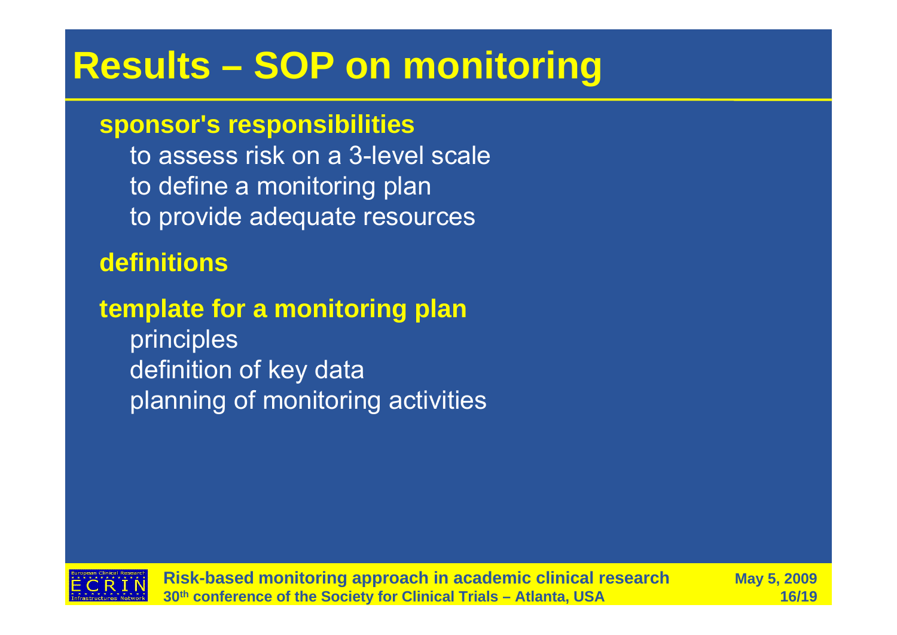# **Results – SOP on monitoring**

#### **sponsor's responsibilities**

to assess risk on a 3-level scale to define a monitoring plan to provide adequate resources

#### **definitions**

### **template for a monitoring plan**

principles definition of key data planning of monitoring activities



**Risk-based monitoring approach in academic clinical research May 5, 2009 30th conference of the Society for Clinical Trials – Atlanta, USA 16/19**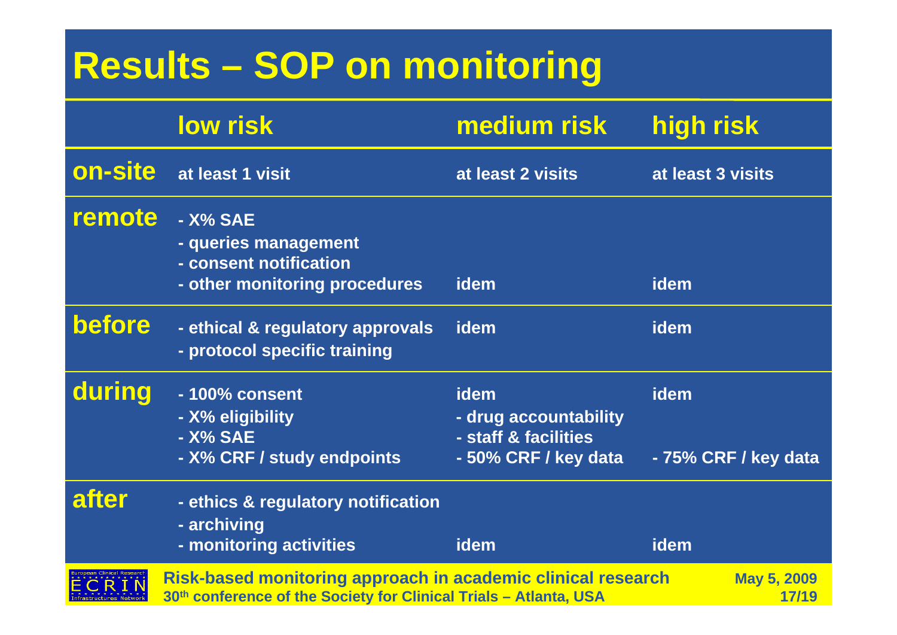# **Results – SOP on monitoring**

|         | <b>low risk</b>                                                                                                                   | medium risk                                                                   | high risk                    |
|---------|-----------------------------------------------------------------------------------------------------------------------------------|-------------------------------------------------------------------------------|------------------------------|
| on-site | at least 1 visit                                                                                                                  | at least 2 visits                                                             | at least 3 visits            |
| remote  | - X% SAE<br>- queries management<br>- consent notification<br>- other monitoring procedures                                       | idem                                                                          | idem                         |
| before  | - ethical & regulatory approvals<br>- protocol specific training                                                                  | idem                                                                          | idem                         |
| during  | - 100% consent<br>- X% eligibility<br>- X% SAE<br>- X% CRF / study endpoints                                                      | idem<br>- drug accountability<br>- staff & facilities<br>- 50% CRF / key data | idem<br>- 75% CRF / key data |
| after   | - ethics & regulatory notification<br>- archiving<br>- monitoring activities                                                      | <b>idem</b>                                                                   | idem                         |
|         | Risk-based monitoring approach in academic clinical research<br>30th conference of the Society for Clinical Trials - Atlanta, USA |                                                                               | <b>May 5, 2009</b><br>17/19  |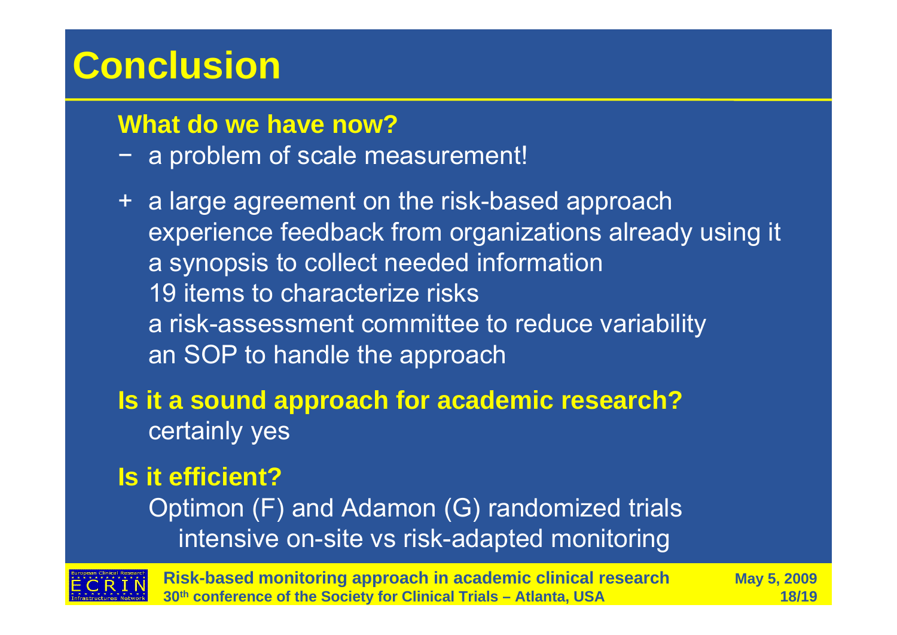# **Conclusion**

#### **What do we have now?**

- − a problem of scale measurement!
- + a large agreement on the risk-based approach experience feedback from organizations already using it a synopsis to collect needed information 19 items to characterize risksa risk-assessment committee to reduce variability an SOP to handle the approach

### **Is it a sound approach for academic research?** certainly yes

### **Is it efficient?**

Optimon (F) and Adamon (G) randomized trials intensive on-site vs risk-adapted monitoring



**Risk-based monitoring approach in academic clinical research May 5, 2009 30th conference of the Society for Clinical Trials – Atlanta, USA 18/19**